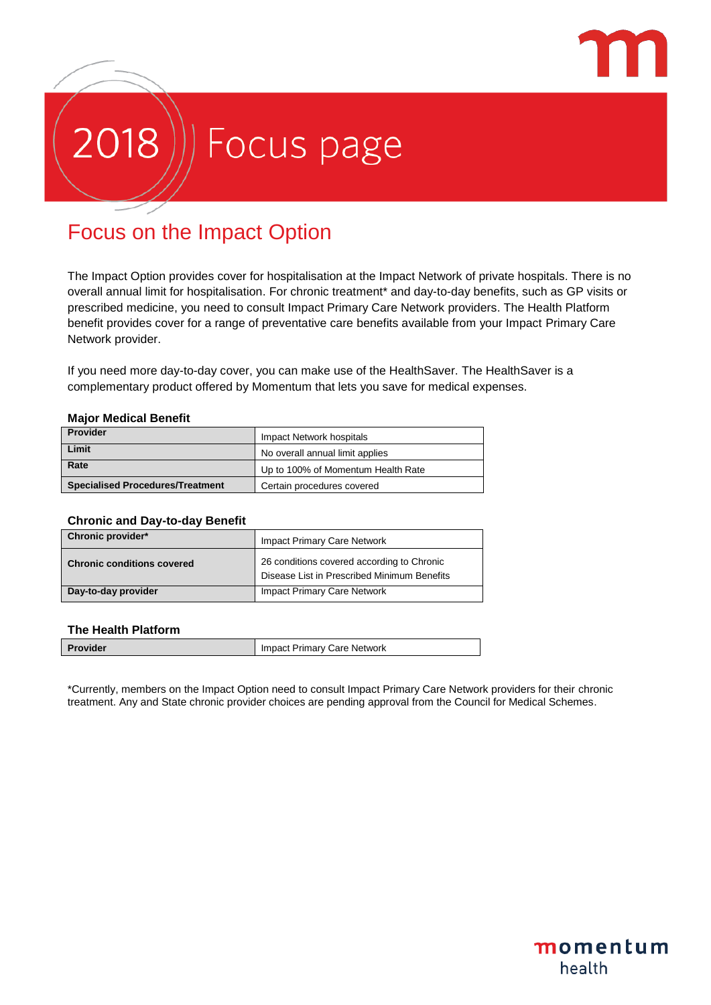

momentum

health

# Focus page 8

# Focus on the Impact Option

The Impact Option provides cover for hospitalisation at the Impact Network of private hospitals. There is no overall annual limit for hospitalisation. For chronic treatment\* and day-to-day benefits, such as GP visits or prescribed medicine, you need to consult Impact Primary Care Network providers. The Health Platform benefit provides cover for a range of preventative care benefits available from your Impact Primary Care Network provider.

If you need more day-to-day cover, you can make use of the HealthSaver. The HealthSaver is a complementary product offered by Momentum that lets you save for medical expenses.

#### **Major Medical Benefit**

| Provider                                | Impact Network hospitals           |
|-----------------------------------------|------------------------------------|
| Limit                                   | No overall annual limit applies    |
| Rate                                    | Up to 100% of Momentum Health Rate |
| <b>Specialised Procedures/Treatment</b> | Certain procedures covered         |

### **Chronic and Day-to-day Benefit**

| Chronic provider*                 | Impact Primary Care Network                                                               |
|-----------------------------------|-------------------------------------------------------------------------------------------|
| <b>Chronic conditions covered</b> | 26 conditions covered according to Chronic<br>Disease List in Prescribed Minimum Benefits |
| Day-to-day provider               | Impact Primary Care Network                                                               |

#### **The Health Platform**

| Provider | <b>Impact Primary Care Network</b> |
|----------|------------------------------------|
|          |                                    |

\*Currently, members on the Impact Option need to consult Impact Primary Care Network providers for their chronic treatment. Any and State chronic provider choices are pending approval from the Council for Medical Schemes.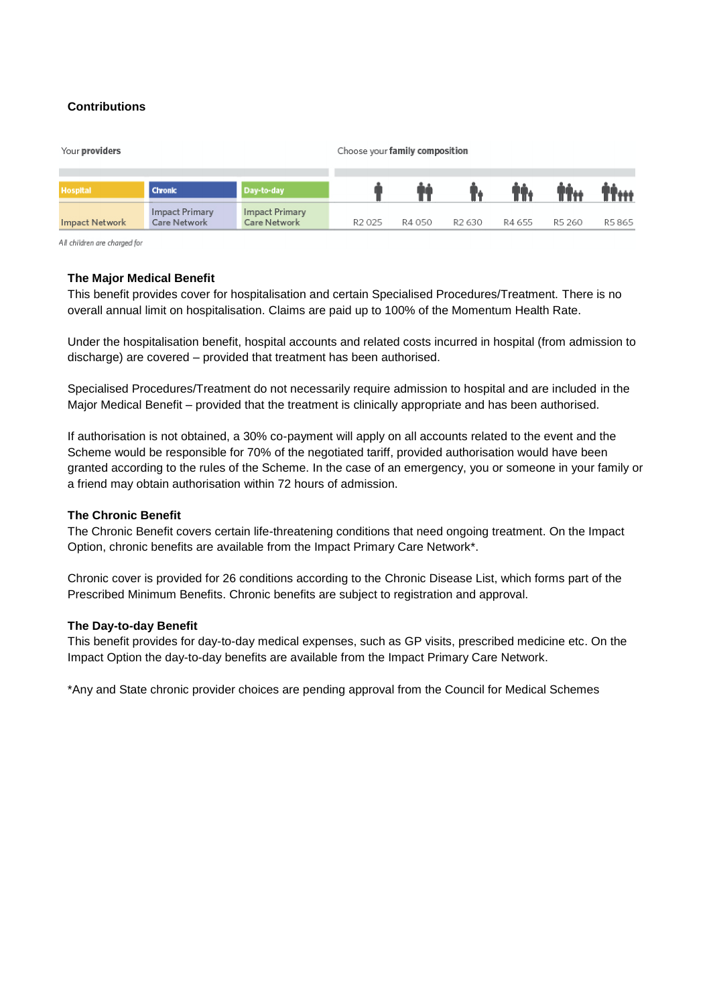# **Contributions**

| Your providers  |                                              | Choose your family composition               |                    |        |                    |                  |        |        |
|-----------------|----------------------------------------------|----------------------------------------------|--------------------|--------|--------------------|------------------|--------|--------|
| <b>Hospital</b> | <b>Chronic</b>                               | Day-to-day                                   |                    |        |                    | th the time that |        |        |
| Impact Network  | <b>Impact Primary</b><br><b>Care Network</b> | <b>Impact Primary</b><br><b>Care Network</b> | R <sub>2</sub> 025 | R4 050 | R <sub>2</sub> 630 | R4 655           | R5 260 | R5 865 |

All children are charaed for

#### **The Major Medical Benefit**

This benefit provides cover for hospitalisation and certain Specialised Procedures/Treatment. There is no overall annual limit on hospitalisation. Claims are paid up to 100% of the Momentum Health Rate.

Under the hospitalisation benefit, hospital accounts and related costs incurred in hospital (from admission to discharge) are covered – provided that treatment has been authorised.

Specialised Procedures/Treatment do not necessarily require admission to hospital and are included in the Major Medical Benefit – provided that the treatment is clinically appropriate and has been authorised.

If authorisation is not obtained, a 30% co-payment will apply on all accounts related to the event and the Scheme would be responsible for 70% of the negotiated tariff, provided authorisation would have been granted according to the rules of the Scheme. In the case of an emergency, you or someone in your family or a friend may obtain authorisation within 72 hours of admission.

# **The Chronic Benefit**

The Chronic Benefit covers certain life-threatening conditions that need ongoing treatment. On the Impact Option, chronic benefits are available from the Impact Primary Care Network\*.

Chronic cover is provided for 26 conditions according to the Chronic Disease List, which forms part of the Prescribed Minimum Benefits. Chronic benefits are subject to registration and approval.

# **The Day-to-day Benefit**

This benefit provides for day-to-day medical expenses, such as GP visits, prescribed medicine etc. On the Impact Option the day-to-day benefits are available from the Impact Primary Care Network.

\*Any and State chronic provider choices are pending approval from the Council for Medical Schemes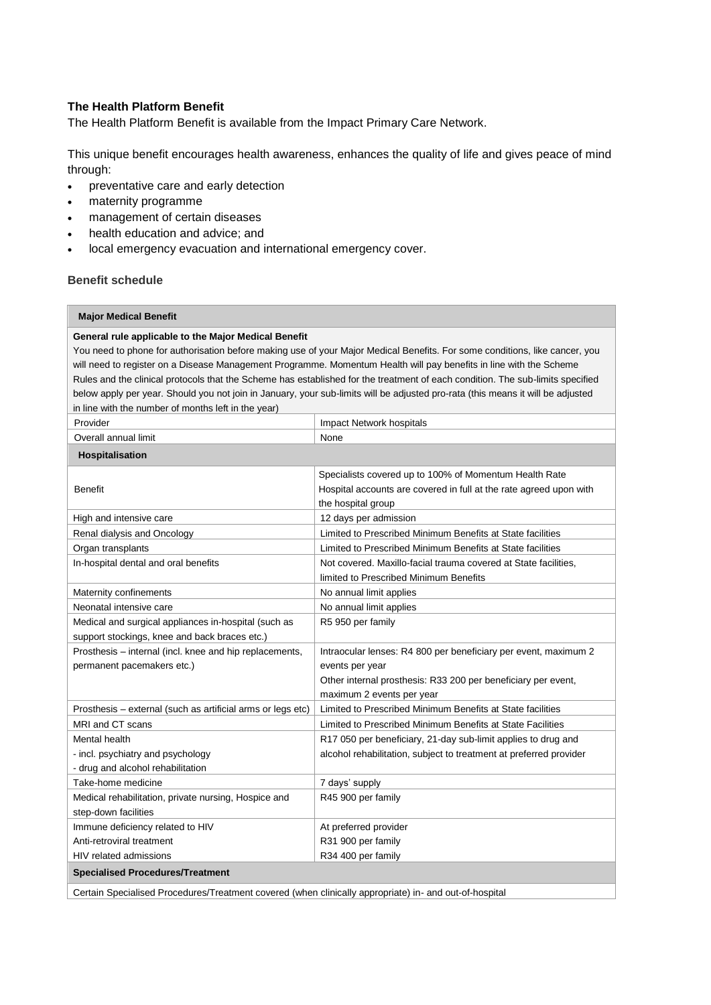### **The Health Platform Benefit**

The Health Platform Benefit is available from the Impact Primary Care Network.

This unique benefit encourages health awareness, enhances the quality of life and gives peace of mind through:

- preventative care and early detection
- maternity programme
- management of certain diseases
- health education and advice; and
- local emergency evacuation and international emergency cover.

### **Benefit schedule**

#### **Major Medical Benefit**

#### **General rule applicable to the Major Medical Benefit**

 You need to phone for authorisation before making use of your Major Medical Benefits. For some conditions, like cancer, you will need to register on a Disease Management Programme. Momentum Health will pay benefits in line with the Scheme Rules and the clinical protocols that the Scheme has established for the treatment of each condition. The sub-limits specified below apply per year. Should you not join in January, your sub-limits will be adjusted pro-rata (this means it will be adjusted in line with the number of months left in the year)

| Provider                                                                                              | Impact Network hospitals                                                                                                                                                         |
|-------------------------------------------------------------------------------------------------------|----------------------------------------------------------------------------------------------------------------------------------------------------------------------------------|
| Overall annual limit                                                                                  | None                                                                                                                                                                             |
| Hospitalisation                                                                                       |                                                                                                                                                                                  |
| <b>Benefit</b>                                                                                        | Specialists covered up to 100% of Momentum Health Rate<br>Hospital accounts are covered in full at the rate agreed upon with<br>the hospital group                               |
| High and intensive care                                                                               | 12 days per admission                                                                                                                                                            |
| Renal dialysis and Oncology                                                                           | Limited to Prescribed Minimum Benefits at State facilities                                                                                                                       |
| Organ transplants                                                                                     | Limited to Prescribed Minimum Benefits at State facilities                                                                                                                       |
| In-hospital dental and oral benefits                                                                  | Not covered. Maxillo-facial trauma covered at State facilities,<br>limited to Prescribed Minimum Benefits                                                                        |
| Maternity confinements                                                                                | No annual limit applies                                                                                                                                                          |
| Neonatal intensive care                                                                               | No annual limit applies                                                                                                                                                          |
| Medical and surgical appliances in-hospital (such as<br>support stockings, knee and back braces etc.) | R5 950 per family                                                                                                                                                                |
| Prosthesis - internal (incl. knee and hip replacements,<br>permanent pacemakers etc.)                 | Intraocular lenses: R4 800 per beneficiary per event, maximum 2<br>events per year<br>Other internal prosthesis: R33 200 per beneficiary per event,<br>maximum 2 events per year |
| Prosthesis – external (such as artificial arms or legs etc)                                           | Limited to Prescribed Minimum Benefits at State facilities                                                                                                                       |
| MRI and CT scans                                                                                      | Limited to Prescribed Minimum Benefits at State Facilities                                                                                                                       |
| Mental health<br>- incl. psychiatry and psychology<br>- drug and alcohol rehabilitation               | R17 050 per beneficiary, 21-day sub-limit applies to drug and<br>alcohol rehabilitation, subject to treatment at preferred provider                                              |
| Take-home medicine                                                                                    | 7 days' supply                                                                                                                                                                   |
| Medical rehabilitation, private nursing, Hospice and<br>step-down facilities                          | R45 900 per family                                                                                                                                                               |
| Immune deficiency related to HIV                                                                      | At preferred provider                                                                                                                                                            |
| Anti-retroviral treatment                                                                             | R31 900 per family                                                                                                                                                               |
| HIV related admissions                                                                                | R34 400 per family                                                                                                                                                               |

Certain Specialised Procedures/Treatment covered (when clinically appropriate) in- and out-of-hospital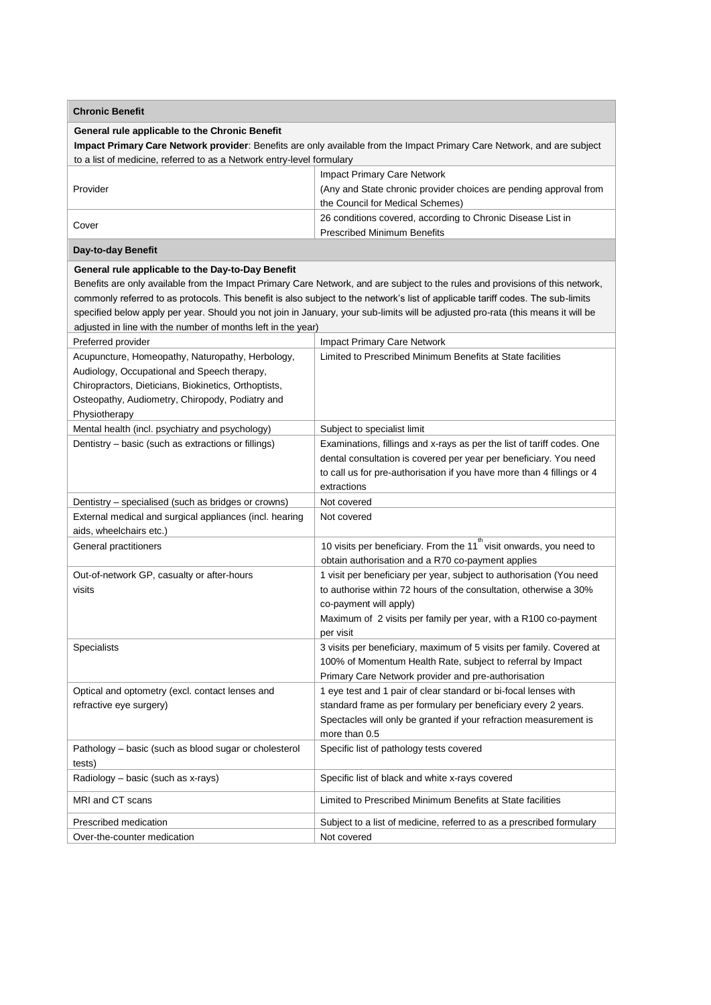| <b>Chronic Benefit</b>                                                             |                                                                                                                                  |
|------------------------------------------------------------------------------------|----------------------------------------------------------------------------------------------------------------------------------|
| General rule applicable to the Chronic Benefit                                     |                                                                                                                                  |
|                                                                                    | Impact Primary Care Network provider: Benefits are only available from the Impact Primary Care Network, and are subject          |
| to a list of medicine, referred to as a Network entry-level formulary              |                                                                                                                                  |
|                                                                                    | Impact Primary Care Network                                                                                                      |
| Provider                                                                           | (Any and State chronic provider choices are pending approval from                                                                |
|                                                                                    | the Council for Medical Schemes)                                                                                                 |
|                                                                                    | 26 conditions covered, according to Chronic Disease List in                                                                      |
| Cover                                                                              | <b>Prescribed Minimum Benefits</b>                                                                                               |
| Day-to-day Benefit                                                                 |                                                                                                                                  |
| General rule applicable to the Day-to-Day Benefit                                  |                                                                                                                                  |
|                                                                                    | Benefits are only available from the Impact Primary Care Network, and are subject to the rules and provisions of this network,   |
|                                                                                    | commonly referred to as protocols. This benefit is also subject to the network's list of applicable tariff codes. The sub-limits |
|                                                                                    | specified below apply per year. Should you not join in January, your sub-limits will be adjusted pro-rata (this means it will be |
| adjusted in line with the number of months left in the year)                       |                                                                                                                                  |
| Preferred provider                                                                 | Impact Primary Care Network                                                                                                      |
| Acupuncture, Homeopathy, Naturopathy, Herbology,                                   | Limited to Prescribed Minimum Benefits at State facilities                                                                       |
| Audiology, Occupational and Speech therapy,                                        |                                                                                                                                  |
| Chiropractors, Dieticians, Biokinetics, Orthoptists,                               |                                                                                                                                  |
| Osteopathy, Audiometry, Chiropody, Podiatry and                                    |                                                                                                                                  |
| Physiotherapy                                                                      |                                                                                                                                  |
| Mental health (incl. psychiatry and psychology)                                    | Subject to specialist limit                                                                                                      |
| Dentistry – basic (such as extractions or fillings)                                | Examinations, fillings and x-rays as per the list of tariff codes. One                                                           |
|                                                                                    | dental consultation is covered per year per beneficiary. You need                                                                |
|                                                                                    | to call us for pre-authorisation if you have more than 4 fillings or 4                                                           |
|                                                                                    | extractions                                                                                                                      |
| Dentistry - specialised (such as bridges or crowns)                                | Not covered                                                                                                                      |
| External medical and surgical appliances (incl. hearing<br>aids, wheelchairs etc.) | Not covered                                                                                                                      |
| General practitioners                                                              | 10 visits per beneficiary. From the 11 <sup>th</sup> visit onwards, you need to                                                  |
|                                                                                    | obtain authorisation and a R70 co-payment applies                                                                                |
| Out-of-network GP, casualty or after-hours                                         | 1 visit per beneficiary per year, subject to authorisation (You need                                                             |
| visits                                                                             | to authorise within 72 hours of the consultation, otherwise a 30%                                                                |
|                                                                                    | co-payment will apply)                                                                                                           |
|                                                                                    | Maximum of 2 visits per family per year, with a R100 co-payment                                                                  |
|                                                                                    | per visit                                                                                                                        |
| Specialists                                                                        | 3 visits per beneficiary, maximum of 5 visits per family. Covered at                                                             |
|                                                                                    | 100% of Momentum Health Rate, subject to referral by Impact                                                                      |
|                                                                                    | Primary Care Network provider and pre-authorisation                                                                              |
| Optical and optometry (excl. contact lenses and                                    | 1 eye test and 1 pair of clear standard or bi-focal lenses with                                                                  |
| refractive eye surgery)                                                            | standard frame as per formulary per beneficiary every 2 years.                                                                   |
|                                                                                    | Spectacles will only be granted if your refraction measurement is                                                                |
|                                                                                    | more than 0.5                                                                                                                    |
| Pathology – basic (such as blood sugar or cholesterol                              | Specific list of pathology tests covered                                                                                         |
| tests)<br>Radiology - basic (such as x-rays)                                       | Specific list of black and white x-rays covered                                                                                  |
|                                                                                    |                                                                                                                                  |
| MRI and CT scans                                                                   | Limited to Prescribed Minimum Benefits at State facilities                                                                       |
| Prescribed medication                                                              | Subject to a list of medicine, referred to as a prescribed formulary                                                             |
| Over-the-counter medication                                                        | Not covered                                                                                                                      |